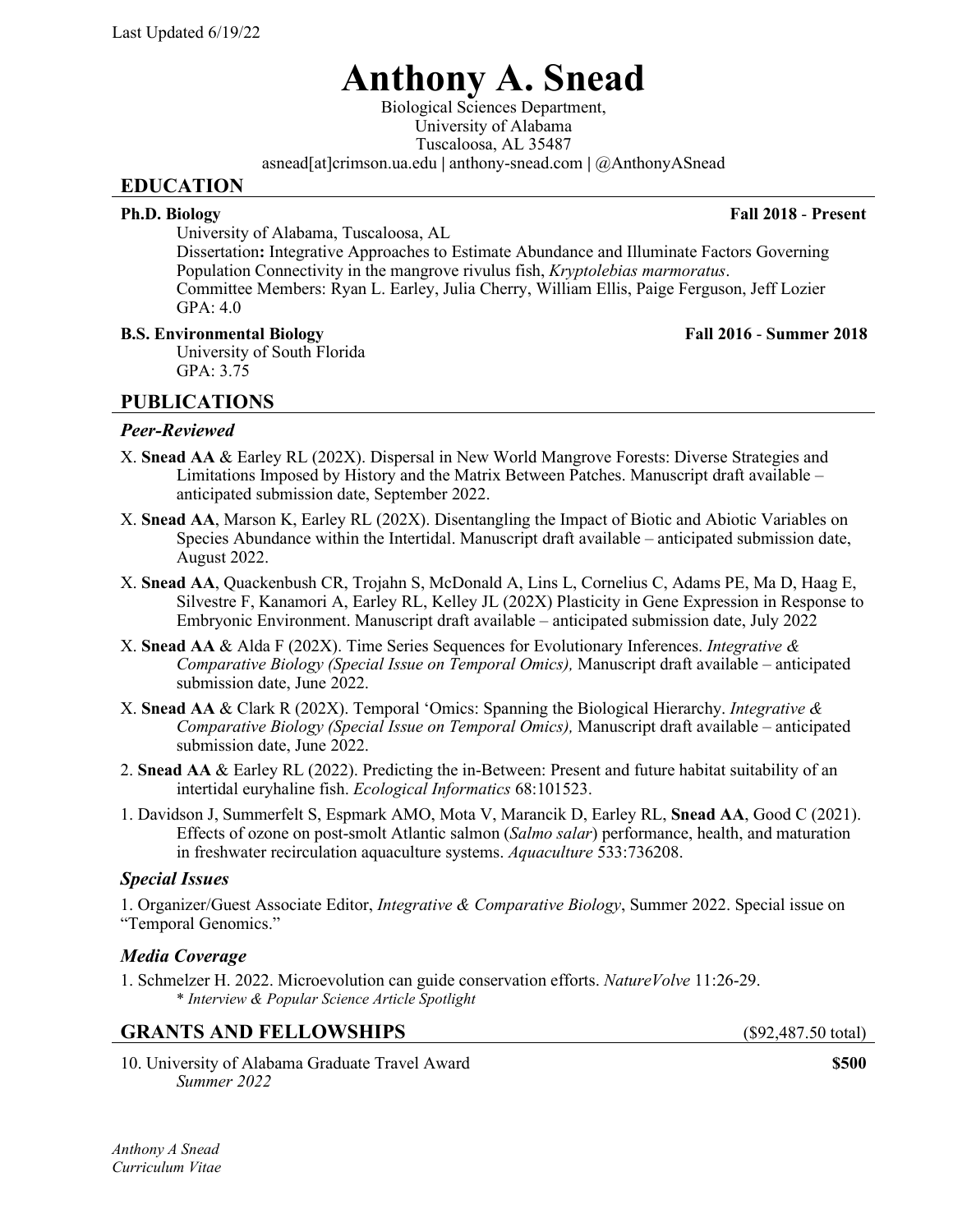# **Anthony A. Snead**

Biological Sciences Department, University of Alabama Tuscaloosa, AL 35487 asnead[at]crimson.ua.edu **|** anthony-snead.com **|** @AnthonyASnead

### **EDUCATION**

**Ph.D. Biology Fall 2018** - **Present**

University of Alabama, Tuscaloosa, AL

Dissertation**:** Integrative Approaches to Estimate Abundance and Illuminate Factors Governing Population Connectivity in the mangrove rivulus fish, *Kryptolebias marmoratus*. Committee Members: Ryan L. Earley, Julia Cherry, William Ellis, Paige Ferguson, Jeff Lozier GPA: 4.0

### **B.S. Environmental Biology Fall 2016** - **Summer 2018**

University of South Florida GPA: 3.75

# **PUBLICATIONS**

# *Peer-Reviewed*

- X. **Snead AA** & Earley RL (202X). Dispersal in New World Mangrove Forests: Diverse Strategies and Limitations Imposed by History and the Matrix Between Patches. Manuscript draft available – anticipated submission date, September 2022.
- X. **Snead AA**, Marson K, Earley RL (202X). Disentangling the Impact of Biotic and Abiotic Variables on Species Abundance within the Intertidal. Manuscript draft available – anticipated submission date, August 2022.
- X. **Snead AA**, Quackenbush CR, Trojahn S, McDonald A, Lins L, Cornelius C, Adams PE, Ma D, Haag E, Silvestre F, Kanamori A, Earley RL, Kelley JL (202X) Plasticity in Gene Expression in Response to Embryonic Environment. Manuscript draft available – anticipated submission date, July 2022
- X. **Snead AA** & Alda F (202X). Time Series Sequences for Evolutionary Inferences. *Integrative & Comparative Biology (Special Issue on Temporal Omics),* Manuscript draft available – anticipated submission date, June 2022.
- X. **Snead AA** & Clark R (202X). Temporal 'Omics: Spanning the Biological Hierarchy. *Integrative & Comparative Biology (Special Issue on Temporal Omics),* Manuscript draft available – anticipated submission date, June 2022.
- 2. **Snead AA** & Earley RL (2022). Predicting the in-Between: Present and future habitat suitability of an intertidal euryhaline fish. *Ecological Informatics* 68:101523.
- 1. Davidson J, Summerfelt S, Espmark AMO, Mota V, Marancik D, Earley RL, **Snead AA**, Good C (2021). Effects of ozone on post-smolt Atlantic salmon (*Salmo salar*) performance, health, and maturation in freshwater recirculation aquaculture systems. *Aquaculture* 533:736208.

### *Special Issues*

1. Organizer/Guest Associate Editor, *Integrative & Comparative Biology*, Summer 2022. Special issue on "Temporal Genomics."

### *Media Coverage*

1. Schmelzer H. 2022. Microevolution can guide conservation efforts. *NatureVolve* 11:26-29. \* *Interview & Popular Science Article Spotlight*

### GRANTS AND FELLOWSHIPS (\$92,487.50 total)

10. University of Alabama Graduate Travel Award **\$500** *Summer 2022*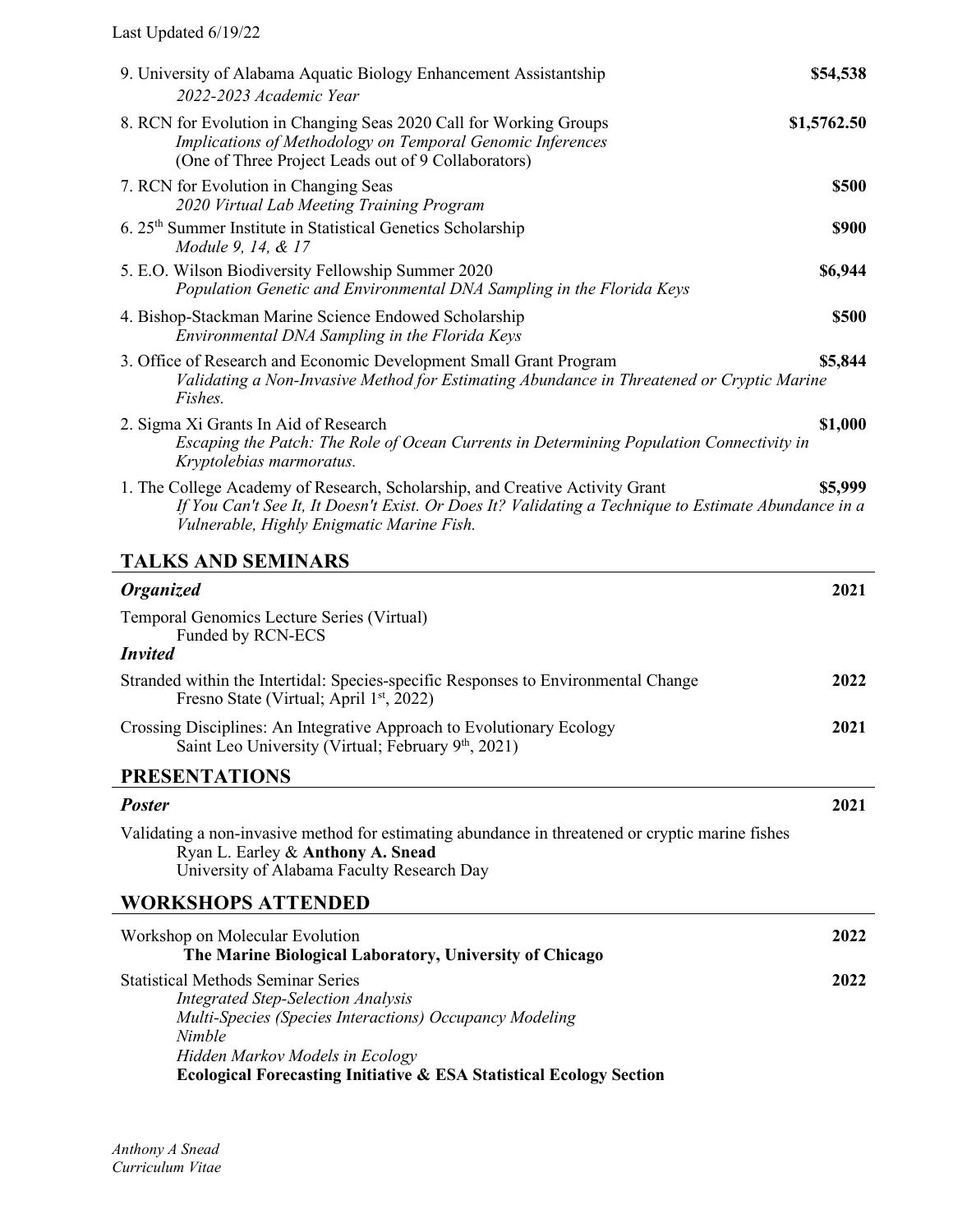Last Updated 6/19/22

| 9. University of Alabama Aquatic Biology Enhancement Assistantship<br>2022-2023 Academic Year                                                                                                                                                                                    | \$54,538     |  |
|----------------------------------------------------------------------------------------------------------------------------------------------------------------------------------------------------------------------------------------------------------------------------------|--------------|--|
| 8. RCN for Evolution in Changing Seas 2020 Call for Working Groups<br>Implications of Methodology on Temporal Genomic Inferences<br>(One of Three Project Leads out of 9 Collaborators)                                                                                          | \$1,5762.50  |  |
| 7. RCN for Evolution in Changing Seas<br>2020 Virtual Lab Meeting Training Program                                                                                                                                                                                               | \$500        |  |
| 6. 25 <sup>th</sup> Summer Institute in Statistical Genetics Scholarship<br>Module 9, 14, & 17                                                                                                                                                                                   | <b>\$900</b> |  |
| 5. E.O. Wilson Biodiversity Fellowship Summer 2020<br>Population Genetic and Environmental DNA Sampling in the Florida Keys                                                                                                                                                      | \$6,944      |  |
| 4. Bishop-Stackman Marine Science Endowed Scholarship<br>Environmental DNA Sampling in the Florida Keys                                                                                                                                                                          | \$500        |  |
| 3. Office of Research and Economic Development Small Grant Program<br>Validating a Non-Invasive Method for Estimating Abundance in Threatened or Cryptic Marine<br>Fishes.                                                                                                       | \$5,844      |  |
| 2. Sigma Xi Grants In Aid of Research<br>Escaping the Patch: The Role of Ocean Currents in Determining Population Connectivity in<br>Kryptolebias marmoratus.                                                                                                                    | \$1,000      |  |
| 1. The College Academy of Research, Scholarship, and Creative Activity Grant<br>If You Can't See It, It Doesn't Exist. Or Does It? Validating a Technique to Estimate Abundance in a<br>Vulnerable, Highly Enigmatic Marine Fish.                                                | \$5,999      |  |
| <b>TALKS AND SEMINARS</b>                                                                                                                                                                                                                                                        |              |  |
| <b>Organized</b>                                                                                                                                                                                                                                                                 | 2021         |  |
| Temporal Genomics Lecture Series (Virtual)<br>Funded by RCN-ECS                                                                                                                                                                                                                  |              |  |
| <b>Invited</b>                                                                                                                                                                                                                                                                   |              |  |
| Stranded within the Intertidal: Species-specific Responses to Environmental Change<br>Fresno State (Virtual; April 1 <sup>st</sup> , 2022)                                                                                                                                       | 2022         |  |
| Crossing Disciplines: An Integrative Approach to Evolutionary Ecology<br>Saint Leo University (Virtual; February 9th, 2021)                                                                                                                                                      | 2021         |  |
| <b>PRESENTATIONS</b>                                                                                                                                                                                                                                                             |              |  |
| <b>Poster</b>                                                                                                                                                                                                                                                                    | 2021         |  |
| Validating a non-invasive method for estimating abundance in threatened or cryptic marine fishes<br>Ryan L. Earley & Anthony A. Snead<br>University of Alabama Faculty Research Day                                                                                              |              |  |
| WORKSHOPS ATTENDED                                                                                                                                                                                                                                                               |              |  |
| Workshop on Molecular Evolution                                                                                                                                                                                                                                                  |              |  |
| The Marine Biological Laboratory, University of Chicago                                                                                                                                                                                                                          | 2022         |  |
| <b>Statistical Methods Seminar Series</b><br><b>Integrated Step-Selection Analysis</b><br>Multi-Species (Species Interactions) Occupancy Modeling<br>Nimble<br>Hidden Markov Models in Ecology<br><b>Ecological Forecasting Initiative &amp; ESA Statistical Ecology Section</b> | 2022         |  |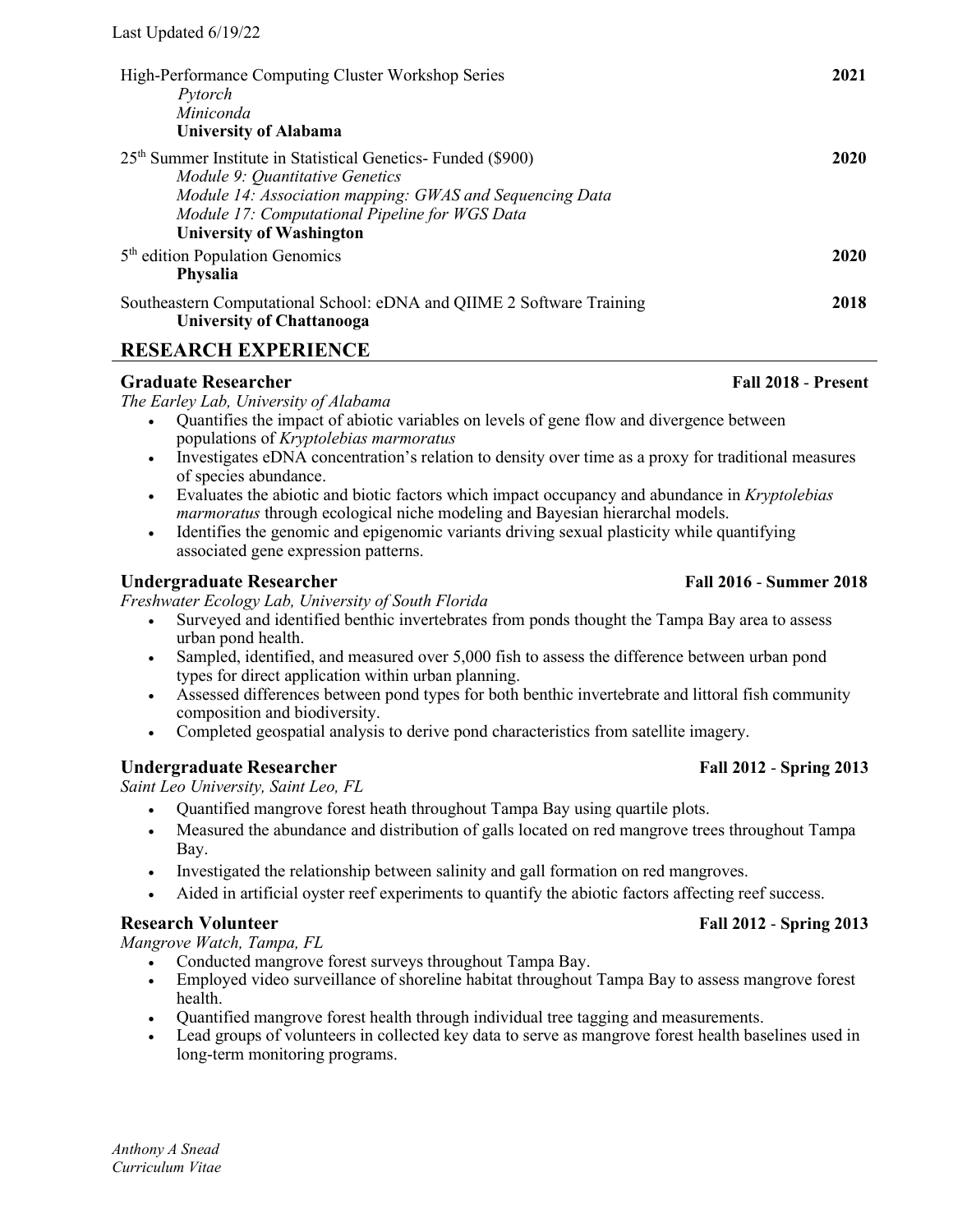| High-Performance Computing Cluster Workshop Series<br>Pytorch<br>Miniconda<br><b>University of Alabama</b>                                                                                                                                                    | 2021 |
|---------------------------------------------------------------------------------------------------------------------------------------------------------------------------------------------------------------------------------------------------------------|------|
| 25 <sup>th</sup> Summer Institute in Statistical Genetics- Funded (\$900)<br>Module 9: Quantitative Genetics<br>Module 14: Association mapping: GWAS and Sequencing Data<br>Module 17: Computational Pipeline for WGS Data<br><b>University of Washington</b> | 2020 |
| 5 <sup>th</sup> edition Population Genomics<br><b>Physalia</b>                                                                                                                                                                                                | 2020 |
| Southeastern Computational School: eDNA and QIIME 2 Software Training<br><b>University of Chattanooga</b>                                                                                                                                                     | 2018 |

## **RESEARCH EXPERIENCE**

### **Graduate Researcher Fall 2018** - **Present**

*The Earley Lab, University of Alabama*

- Quantifies the impact of abiotic variables on levels of gene flow and divergence between populations of *Kryptolebias marmoratus*
- Investigates eDNA concentration's relation to density over time as a proxy for traditional measures of species abundance.
- Evaluates the abiotic and biotic factors which impact occupancy and abundance in *Kryptolebias marmoratus* through ecological niche modeling and Bayesian hierarchal models.
- Identifies the genomic and epigenomic variants driving sexual plasticity while quantifying associated gene expression patterns.

### **Undergraduate Researcher Fall 2016** - **Summer 2018**

*Freshwater Ecology Lab, University of South Florida*

- Surveyed and identified benthic invertebrates from ponds thought the Tampa Bay area to assess urban pond health.
- Sampled, identified, and measured over 5,000 fish to assess the difference between urban pond types for direct application within urban planning.
- Assessed differences between pond types for both benthic invertebrate and littoral fish community composition and biodiversity.
- Completed geospatial analysis to derive pond characteristics from satellite imagery.

### **Undergraduate Researcher Fall 2012** - **Spring 2013**

*Saint Leo University, Saint Leo, FL*

- Quantified mangrove forest heath throughout Tampa Bay using quartile plots.
- Measured the abundance and distribution of galls located on red mangrove trees throughout Tampa Bay.
- Investigated the relationship between salinity and gall formation on red mangroves.
- Aided in artificial oyster reef experiments to quantify the abiotic factors affecting reef success.

### **Research Volunteer Fall 2012** - **Spring 2013**

*Mangrove Watch, Tampa, FL*

- Conducted mangrove forest surveys throughout Tampa Bay.
- Employed video surveillance of shoreline habitat throughout Tampa Bay to assess mangrove forest health.
- Quantified mangrove forest health through individual tree tagging and measurements.
- Lead groups of volunteers in collected key data to serve as mangrove forest health baselines used in long-term monitoring programs.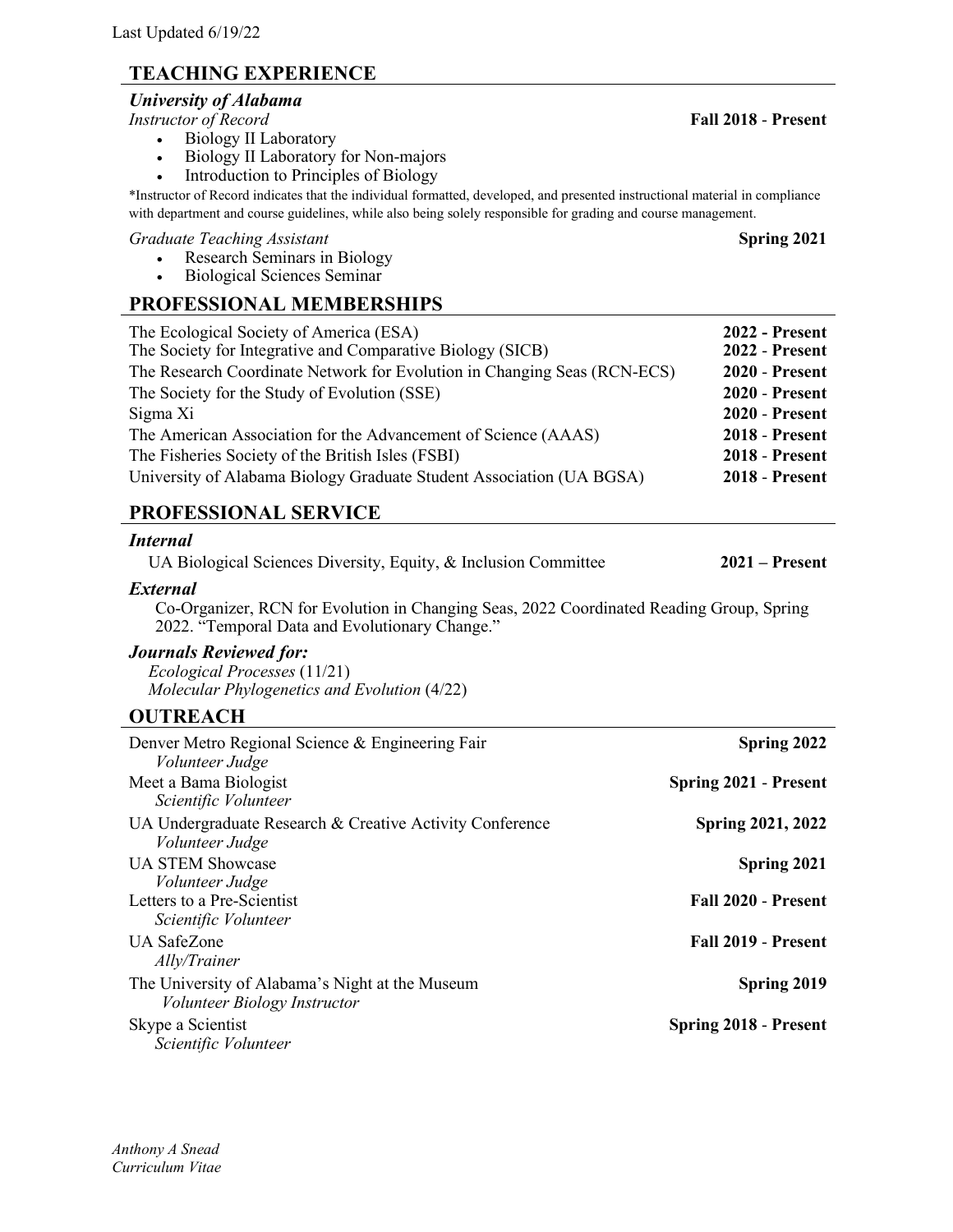# **TEACHING EXPERIENCE**

### *University of Alabama*

*Instructor of Record* **Fall 2018** - **Present**

- Biology II Laboratory
- Biology II Laboratory for Non-majors
- Introduction to Principles of Biology

\*Instructor of Record indicates that the individual formatted, developed, and presented instructional material in compliance with department and course guidelines, while also being solely responsible for grading and course management.

### *Graduate Teaching Assistant* **Spring 2021**

- Research Seminars in Biology
- Biological Sciences Seminar

## **PROFESSIONAL MEMBERSHIPS**

| The Ecological Society of America (ESA)<br>The Society for Integrative and Comparative Biology (SICB) | <b>2022 - Present</b><br><b>2022 - Present</b> |
|-------------------------------------------------------------------------------------------------------|------------------------------------------------|
| The Research Coordinate Network for Evolution in Changing Seas (RCN-ECS)                              | <b>2020 - Present</b>                          |
| The Society for the Study of Evolution (SSE)                                                          | <b>2020 - Present</b>                          |
| Sigma Xi                                                                                              | <b>2020 - Present</b>                          |
| The American Association for the Advancement of Science (AAAS)                                        | <b>2018 - Present</b>                          |
| The Fisheries Society of the British Isles (FSBI)                                                     | <b>2018 - Present</b>                          |
| University of Alabama Biology Graduate Student Association (UA BGSA)                                  | <b>2018 - Present</b>                          |

# **PROFESSIONAL SERVICE**

### *Internal*

UA Biological Sciences Diversity, Equity, & Inclusion Committee **2021 – Present**

### *External*

Co-Organizer, RCN for Evolution in Changing Seas, 2022 Coordinated Reading Group, Spring 2022. "Temporal Data and Evolutionary Change."

### *Journals Reviewed for:*

*Ecological Processes* (11/21) *Molecular Phylogenetics and Evolution* (4/22)

# **OUTREACH**

| Denver Metro Regional Science & Engineering Fair<br><i>Volunteer Judge</i>      | Spring 2022                  |
|---------------------------------------------------------------------------------|------------------------------|
| Meet a Bama Biologist<br>Scientific Volunteer                                   | <b>Spring 2021 - Present</b> |
| UA Undergraduate Research & Creative Activity Conference<br>Volunteer Judge     | <b>Spring 2021, 2022</b>     |
| <b>UA STEM Showcase</b>                                                         | Spring 2021                  |
| Volunteer Judge<br>Letters to a Pre-Scientist<br>Scientific Volunteer           | Fall 2020 - Present          |
| <b>UA SafeZone</b><br>Ally/Trainer                                              | Fall 2019 - Present          |
| The University of Alabama's Night at the Museum<br>Volunteer Biology Instructor | Spring 2019                  |
| Skype a Scientist<br>Scientific Volunteer                                       | <b>Spring 2018 - Present</b> |